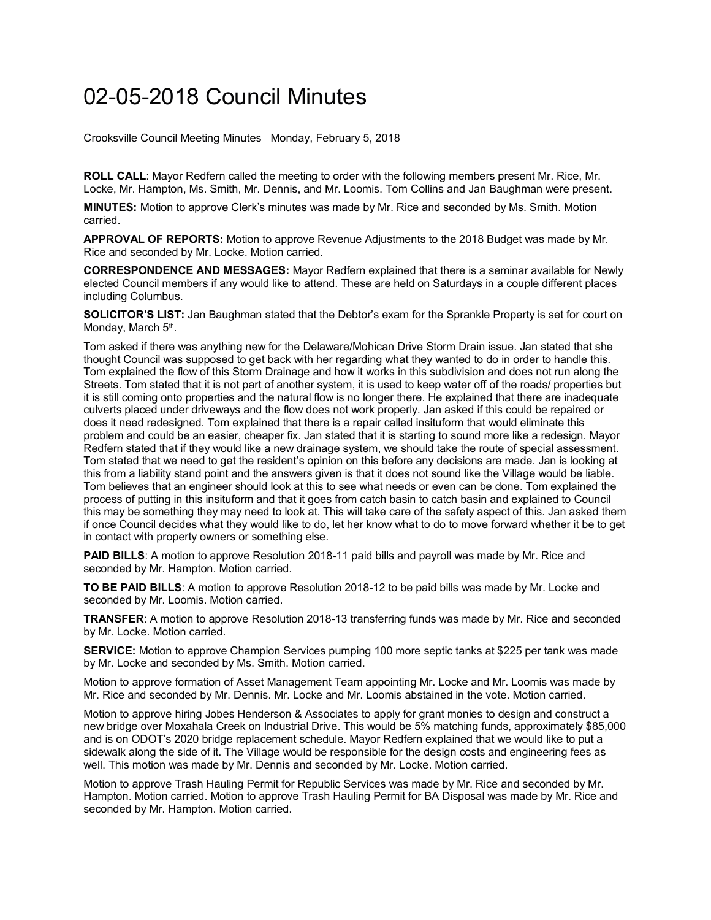## 02-05-2018 Council Minutes

Crooksville Council Meeting Minutes Monday, February 5, 2018

**ROLL CALL**: Mayor Redfern called the meeting to order with the following members present Mr. Rice, Mr. Locke, Mr. Hampton, Ms. Smith, Mr. Dennis, and Mr. Loomis. Tom Collins and Jan Baughman were present.

**MINUTES:** Motion to approve Clerk's minutes was made by Mr. Rice and seconded by Ms. Smith. Motion carried.

**APPROVAL OF REPORTS:** Motion to approve Revenue Adjustments to the 2018 Budget was made by Mr. Rice and seconded by Mr. Locke. Motion carried.

**CORRESPONDENCE AND MESSAGES:** Mayor Redfern explained that there is a seminar available for Newly elected Council members if any would like to attend. These are held on Saturdays in a couple different places including Columbus.

**SOLICITOR'S LIST:** Jan Baughman stated that the Debtor's exam for the Sprankle Property is set for court on Monday, March 5<sup>th</sup>.

Tom asked if there was anything new for the Delaware/Mohican Drive Storm Drain issue. Jan stated that she thought Council was supposed to get back with her regarding what they wanted to do in order to handle this. Tom explained the flow of this Storm Drainage and how it works in this subdivision and does not run along the Streets. Tom stated that it is not part of another system, it is used to keep water off of the roads/ properties but it is still coming onto properties and the natural flow is no longer there. He explained that there are inadequate culverts placed under driveways and the flow does not work properly. Jan asked if this could be repaired or does it need redesigned. Tom explained that there is a repair called insituform that would eliminate this problem and could be an easier, cheaper fix. Jan stated that it is starting to sound more like a redesign. Mayor Redfern stated that if they would like a new drainage system, we should take the route of special assessment. Tom stated that we need to get the resident's opinion on this before any decisions are made. Jan is looking at this from a liability stand point and the answers given is that it does not sound like the Village would be liable. Tom believes that an engineer should look at this to see what needs or even can be done. Tom explained the process of putting in this insituform and that it goes from catch basin to catch basin and explained to Council this may be something they may need to look at. This will take care of the safety aspect of this. Jan asked them if once Council decides what they would like to do, let her know what to do to move forward whether it be to get in contact with property owners or something else.

**PAID BILLS:** A motion to approve Resolution 2018-11 paid bills and payroll was made by Mr. Rice and seconded by Mr. Hampton. Motion carried.

**TO BE PAID BILLS**: A motion to approve Resolution 2018-12 to be paid bills was made by Mr. Locke and seconded by Mr. Loomis. Motion carried.

**TRANSFER**: A motion to approve Resolution 2018-13 transferring funds was made by Mr. Rice and seconded by Mr. Locke. Motion carried.

**SERVICE:** Motion to approve Champion Services pumping 100 more septic tanks at \$225 per tank was made by Mr. Locke and seconded by Ms. Smith. Motion carried.

Motion to approve formation of Asset Management Team appointing Mr. Locke and Mr. Loomis was made by Mr. Rice and seconded by Mr. Dennis. Mr. Locke and Mr. Loomis abstained in the vote. Motion carried.

Motion to approve hiring Jobes Henderson & Associates to apply for grant monies to design and construct a new bridge over Moxahala Creek on Industrial Drive. This would be 5% matching funds, approximately \$85,000 and is on ODOT's 2020 bridge replacement schedule. Mayor Redfern explained that we would like to put a sidewalk along the side of it. The Village would be responsible for the design costs and engineering fees as well. This motion was made by Mr. Dennis and seconded by Mr. Locke. Motion carried.

Motion to approve Trash Hauling Permit for Republic Services was made by Mr. Rice and seconded by Mr. Hampton. Motion carried. Motion to approve Trash Hauling Permit for BA Disposal was made by Mr. Rice and seconded by Mr. Hampton. Motion carried.